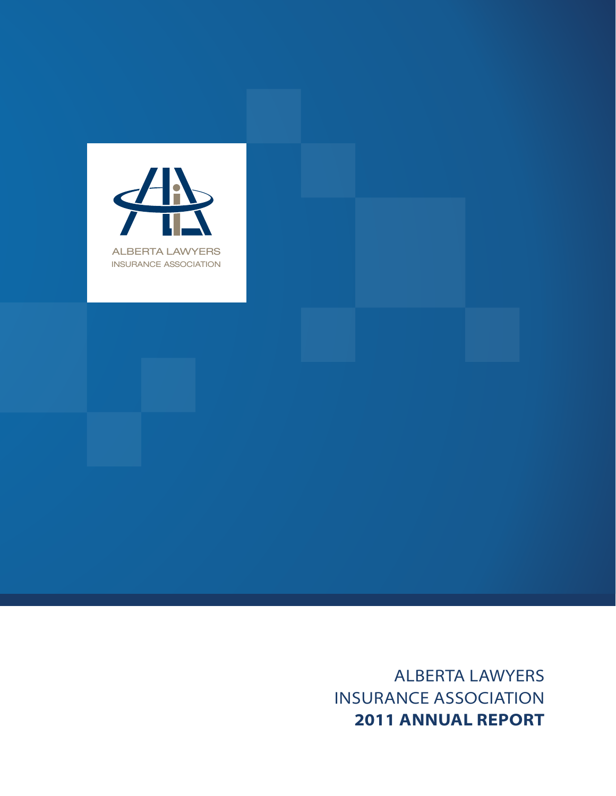

Alberta Lawyers Insurance Association **2011 Annual Report**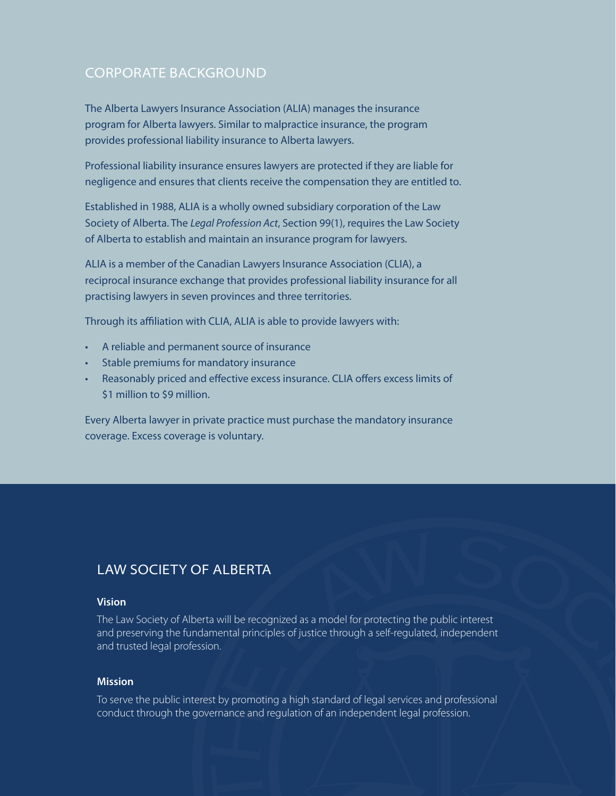# Corporate Background

The Alberta Lawyers Insurance Association (ALIA) manages the insurance program for Alberta lawyers. Similar to malpractice insurance, the program provides professional liability insurance to Alberta lawyers.

Professional liability insurance ensures lawyers are protected if they are liable for negligence and ensures that clients receive the compensation they are entitled to.

Established in 1988, ALIA is a wholly owned subsidiary corporation of the Law Society of Alberta. The *Legal Profession Act*, Section 99(1), requires the Law Society of Alberta to establish and maintain an insurance program for lawyers.

ALIA is a member of the Canadian Lawyers Insurance Association (CLIA), a reciprocal insurance exchange that provides professional liability insurance for all practising lawyers in seven provinces and three territories.

Through its affiliation with CLIA, ALIA is able to provide lawyers with:

- A reliable and permanent source of insurance
- Stable premiums for mandatory insurance
- Reasonably priced and effective excess insurance. CLIA offers excess limits of \$1 million to \$9 million.

Every Alberta lawyer in private practice must purchase the mandatory insurance coverage. Excess coverage is voluntary.

# Law Society of Alberta

#### **Vision**

The Law Society of Alberta will be recognized as a model for protecting the public interest and preserving the fundamental principles of justice through a self-regulated, independent and trusted legal profession.

#### **Mission**

To serve the public interest by promoting a high standard of legal services and professional conduct through the governance and regulation of an independent legal profession.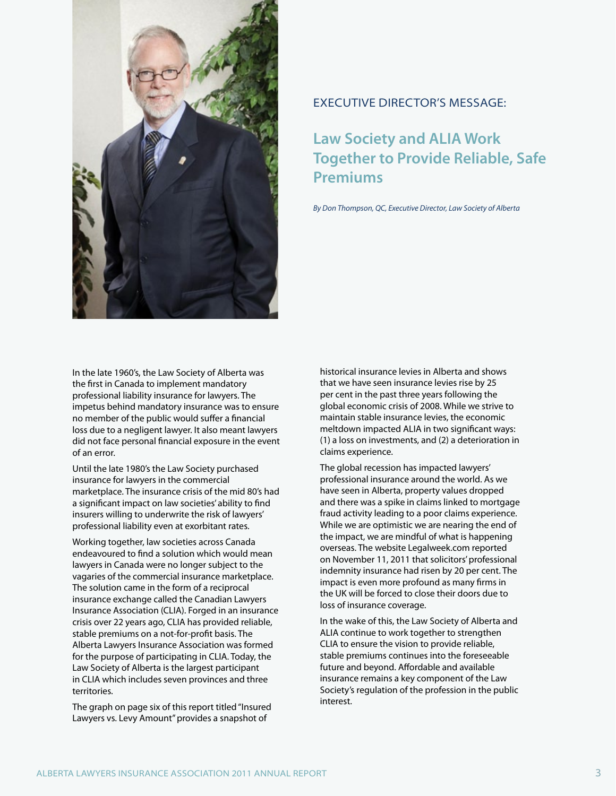

In the late 1960's, the Law Society of Alberta was the first in Canada to implement mandatory professional liability insurance for lawyers. The impetus behind mandatory insurance was to ensure no member of the public would suffer a financial loss due to a negligent lawyer. It also meant lawyers did not face personal financial exposure in the event of an error.

Until the late 1980's the Law Society purchased insurance for lawyers in the commercial marketplace. The insurance crisis of the mid 80's had a significant impact on law societies' ability to find insurers willing to underwrite the risk of lawyers' professional liability even at exorbitant rates.

Working together, law societies across Canada endeavoured to find a solution which would mean lawyers in Canada were no longer subject to the vagaries of the commercial insurance marketplace. The solution came in the form of a reciprocal insurance exchange called the Canadian Lawyers Insurance Association (CLIA). Forged in an insurance crisis over 22 years ago, CLIA has provided reliable, stable premiums on a not-for-profit basis. The Alberta Lawyers Insurance Association was formed for the purpose of participating in CLIA. Today, the Law Society of Alberta is the largest participant in CLIA which includes seven provinces and three territories.

The graph on page six of this report titled "Insured Lawyers vs. Levy Amount" provides a snapshot of

#### Executive Director's Message:

# **Law Society and ALIA Work Together to Provide Reliable, Safe Premiums**

*By Don Thompson, QC, Executive Director, Law Society of Alberta*

historical insurance levies in Alberta and shows that we have seen insurance levies rise by 25 per cent in the past three years following the global economic crisis of 2008. While we strive to maintain stable insurance levies, the economic meltdown impacted ALIA in two significant ways: (1) a loss on investments, and (2) a deterioration in claims experience.

The global recession has impacted lawyers' professional insurance around the world. As we have seen in Alberta, property values dropped and there was a spike in claims linked to mortgage fraud activity leading to a poor claims experience. While we are optimistic we are nearing the end of the impact, we are mindful of what is happening overseas. The website Legalweek.com reported on November 11, 2011 that solicitors' professional indemnity insurance had risen by 20 per cent. The impact is even more profound as many firms in the UK will be forced to close their doors due to loss of insurance coverage.

In the wake of this, the Law Society of Alberta and ALIA continue to work together to strengthen CLIA to ensure the vision to provide reliable, stable premiums continues into the foreseeable future and beyond. Affordable and available insurance remains a key component of the Law Society's regulation of the profession in the public interest.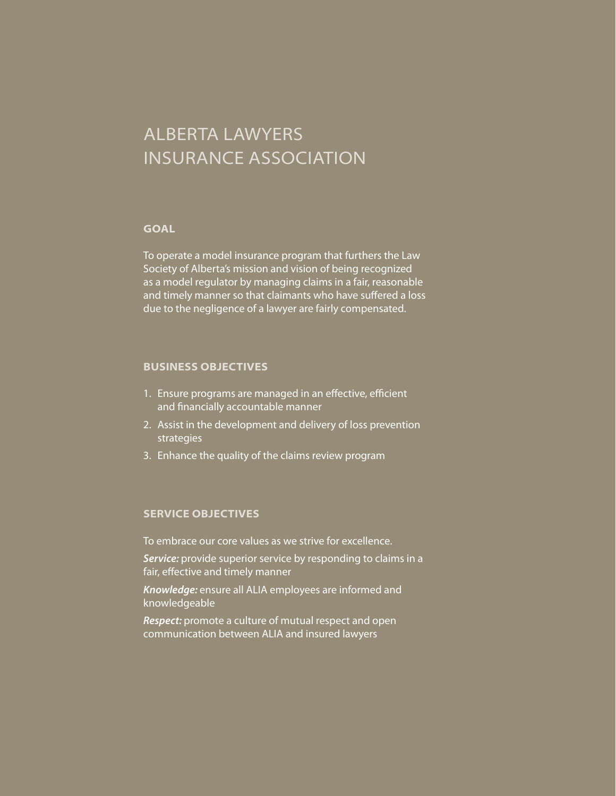# Alberta Lawyers Insurance Association

#### **Goal**

To operate a model insurance program that furthers the Law Society of Alberta's mission and vision of being recognized as a model regulator by managing claims in a fair, reasonable and timely manner so that claimants who have suffered a loss due to the negligence of a lawyer are fairly compensated.

#### **Business Objectives**

- 1. Ensure programs are managed in an effective, efficient and financially accountable manner
- 2. Assist in the development and delivery of loss prevention strategies
- 3. Enhance the quality of the claims review program

#### **Service Objectives**

To embrace our core values as we strive for excellence.

Service: provide superior service by responding to claims in a fair, effective and timely manner

*Knowledge:* ensure all ALIA employees are informed and knowledgeable

*Respect:* promote a culture of mutual respect and open communication between ALIA and insured lawyers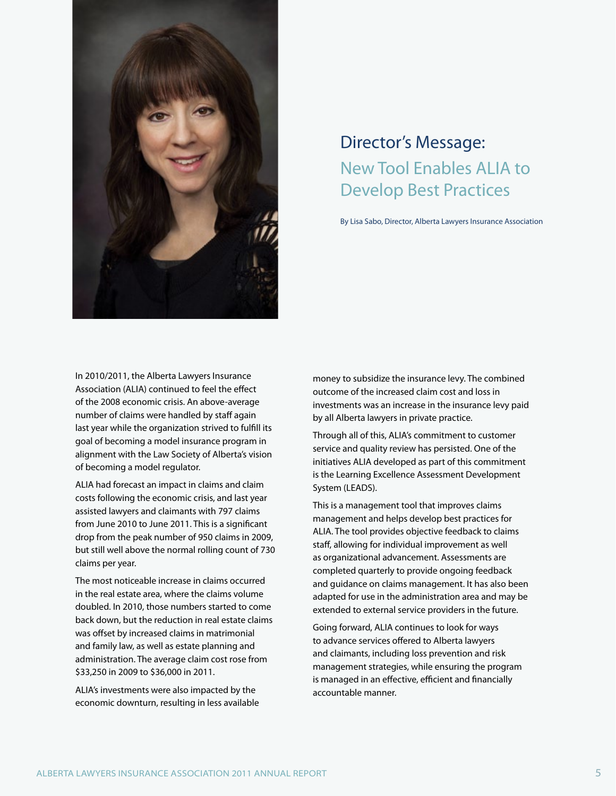

# Director's Message: New Tool Enables ALIA to Develop Best Practices

By Lisa Sabo, Director, Alberta Lawyers Insurance Association

In 2010/2011, the Alberta Lawyers Insurance Association (ALIA) continued to feel the effect of the 2008 economic crisis. An above-average number of claims were handled by staff again last year while the organization strived to fulfill its goal of becoming a model insurance program in alignment with the Law Society of Alberta's vision of becoming a model regulator.

ALIA had forecast an impact in claims and claim costs following the economic crisis, and last year assisted lawyers and claimants with 797 claims from June 2010 to June 2011. This is a significant drop from the peak number of 950 claims in 2009, but still well above the normal rolling count of 730 claims per year.

The most noticeable increase in claims occurred in the real estate area, where the claims volume doubled. In 2010, those numbers started to come back down, but the reduction in real estate claims was offset by increased claims in matrimonial and family law, as well as estate planning and administration. The average claim cost rose from \$33,250 in 2009 to \$36,000 in 2011.

ALIA's investments were also impacted by the economic downturn, resulting in less available

money to subsidize the insurance levy. The combined outcome of the increased claim cost and loss in investments was an increase in the insurance levy paid by all Alberta lawyers in private practice.

Through all of this, ALIA's commitment to customer service and quality review has persisted. One of the initiatives ALIA developed as part of this commitment is the Learning Excellence Assessment Development System (LEADS).

This is a management tool that improves claims management and helps develop best practices for ALIA. The tool provides objective feedback to claims staff, allowing for individual improvement as well as organizational advancement. Assessments are completed quarterly to provide ongoing feedback and guidance on claims management. It has also been adapted for use in the administration area and may be extended to external service providers in the future.

Going forward, ALIA continues to look for ways to advance services offered to Alberta lawyers and claimants, including loss prevention and risk management strategies, while ensuring the program is managed in an effective, efficient and financially accountable manner.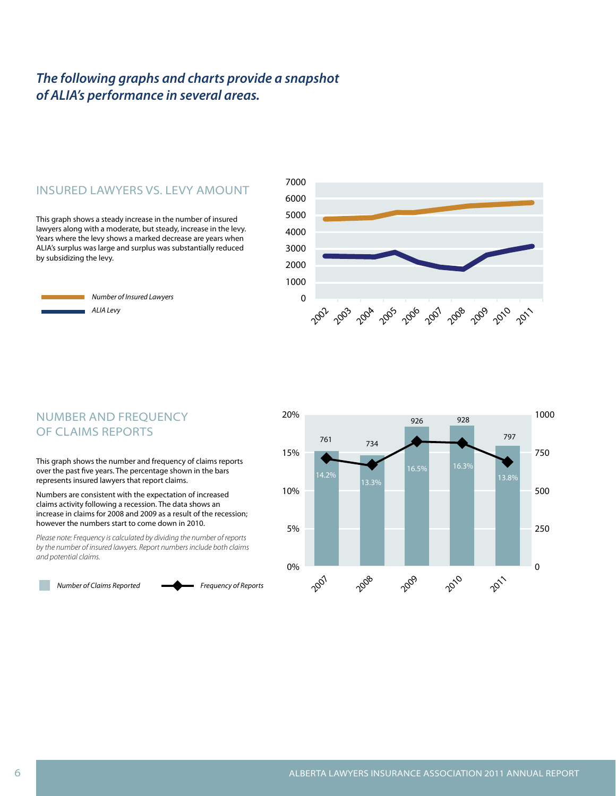# *The following graphs and charts provide a snapshot of ALIA's performance in several areas.*

### Insured Lawyers vs. Levy Amount

This graph shows a steady increase in the number of insured lawyers along with a moderate, but steady, increase in the levy. Years where the levy shows a marked decrease are years when ALIA's surplus was large and surplus was substantially reduced by subsidizing the levy.

> *Number of Insured Lawyers ALIA Levy*



# NUMBER AND FREQUENCY of Claims Reports

This graph shows the number and frequency of claims reports over the past five years. The percentage shown in the bars represents insured lawyers that report claims.

Numbers are consistent with the expectation of increased claims activity following a recession. The data shows an increase in claims for 2008 and 2009 as a result of the recession; however the numbers start to come down in 2010.

*Please note: Frequency is calculated by dividing the number of reports by the number of insured lawyers. Report numbers include both claims and potential claims.*

*Number of Claims Reported Frequency of Reports*

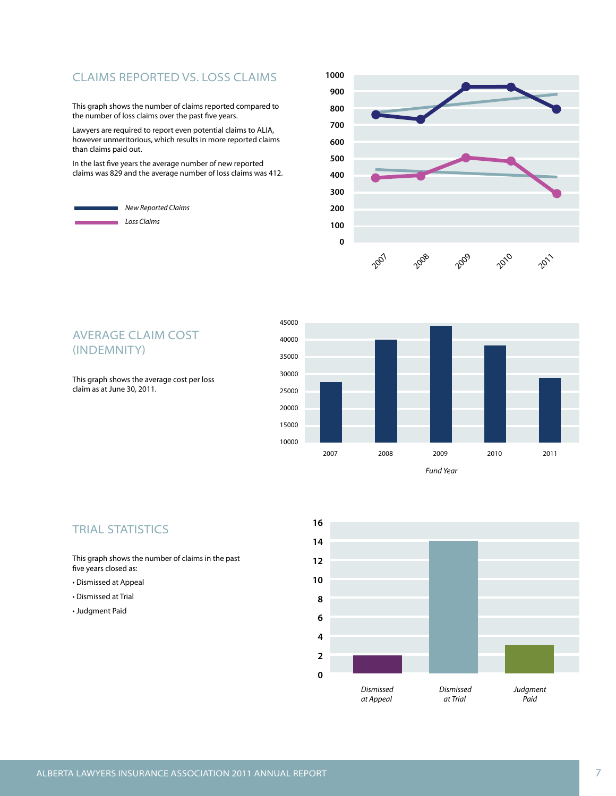# Claims Reported vs. Loss Claims

This graph shows the number of claims reported compared to the number of loss claims over the past five years.

Lawyers are required to report even potential claims to ALIA, however unmeritorious, which results in more reported claims than claims paid out.

In the last five years the average number of new reported claims was 829 and the average number of loss claims was 412.







#### **TRIAL STATISTICS**

This graph shows the number of claims in the past five years closed as:

- Dismissed at Appeal
- Dismissed at Trial
- Judgment Paid



Average Claim Cost (indemnity)

This graph shows the average cost per loss claim as at June 30, 2011.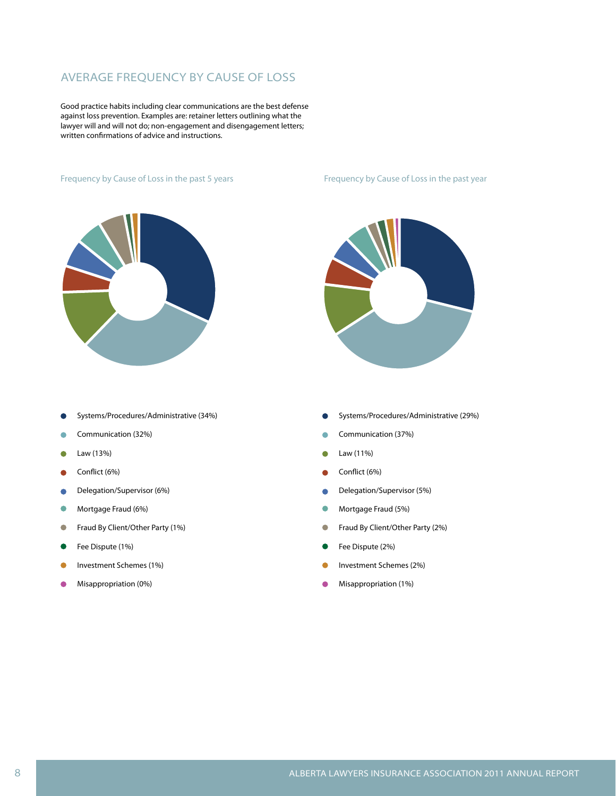## Average Frequency by Cause of Loss

Good practice habits including clear communications are the best defense against loss prevention. Examples are: retainer letters outlining what the lawyer will and will not do; non-engagement and disengagement letters; written confirmations of advice and instructions.

#### Frequency by Cause of Loss in the past 5 years Frequency by Cause of Loss in the past year



- Systems/Procedures/Administrative (34%)
- Communication (32%) Ò
- Law (13%) Ċ
- Conflict (6%)  $\bullet$
- Delegation/Supervisor (6%) ò
- $\bullet$ Mortgage Fraud (6%)
- $\bullet$ Fraud By Client/Other Party (1%)
- $\bullet$ Fee Dispute (1%)
- Investment Schemes (1%)
- Ŏ Misappropriation (0%)



- Systems/Procedures/Administrative (29%)
- Communication (37%)  $\bullet$
- Law (11%)  $\bullet$
- Conflict (6%) Ŏ
- Delegation/Supervisor (5%) Ċ
- $\bullet$ Mortgage Fraud (5%)
- $\bullet$ Fraud By Client/Other Party (2%)
- Fee Dispute (2%)
- Investment Schemes (2%)
- Misappropriation (1%)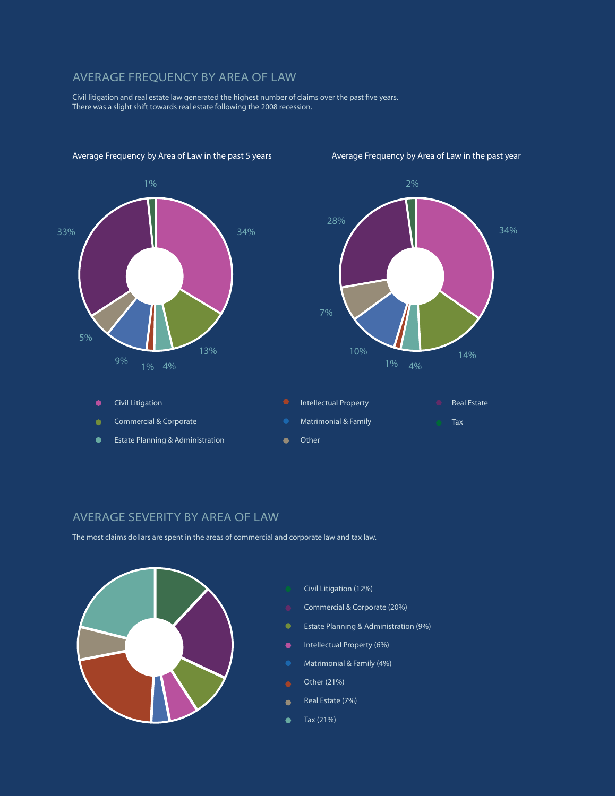#### Average Frequency by Area of Law

Civil litigation and real estate law generated the highest number of claims over the past five years. There was a slight shift towards real estate following the 2008 recession.



Civil Litigation

 $\bullet$  $\bullet$  Commercial & Corporate

Estate Planning & Administration

Average Frequency by Area of Law in the past 5 years Average Frequency by Area of Law in the past year



#### Average Severity by Area of Law

The most claims dollars are spent in the areas of commercial and corporate law and tax law.



- Civil Litigation (12%)
- Commercial & Corporate (20%)
- Estate Planning & Administration (9%)
- $\bullet$ Intellectual Property (6%)
- Matrimonial & Family (4%)
- Other (21%)

 $\bullet$ 

- Real Estate (7%)  $\bullet$
- Tax (21%)  $\bullet$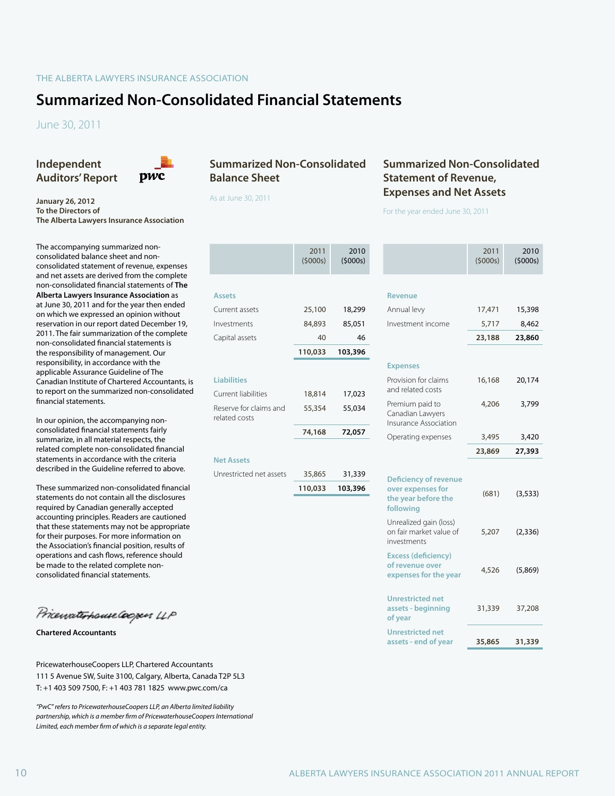# **Summarized Non-Consolidated Financial Statements**

June 30, 2011

**Independent Auditors' Report**



#### **January 26, 2012 To the Directors of The Alberta Lawyers Insurance Association**

The accompanying summarized nonconsolidated balance sheet and nonconsolidated statement of revenue, expenses and net assets are derived from the complete non-consolidated financial statements of **The Alberta Lawyers Insurance Association** as at June 30, 2011 and for the year then ended on which we expressed an opinion without reservation in our report dated December 19, 2011. The fair summarization of the complete non-consolidated financial statements is the responsibility of management. Our responsibility, in accordance with the applicable Assurance Guideline of The Canadian Institute of Chartered Accountants, is to report on the summarized non-consolidated financial statements.

In our opinion, the accompanying nonconsolidated financial statements fairly summarize, in all material respects, the related complete non-consolidated financial statements in accordance with the criteria described in the Guideline referred to above.

These summarized non-consolidated financial statements do not contain all the disclosures required by Canadian generally accepted accounting principles. Readers are cautioned that these statements may not be appropriate for their purposes. For more information on the Association's financial position, results of operations and cash flows, reference should be made to the related complete nonconsolidated financial statements.

PricewaterhouseCoopers LLP

**Chartered Accountants**

PricewaterhouseCoopers LLP, Chartered Accountants 111 5 Avenue SW, Suite 3100, Calgary, Alberta, Canada T2P 5L3 T: +1 403 509 7500, F: +1 403 781 1825 www.pwc.com/ca

*"PwC" refers to PricewaterhouseCoopers LLP, an Alberta limited liability partnership, which is a member firm of PricewaterhouseCoopers International Limited, each member firm of which is a separate legal entity.*

### **Summarized Non-Consolidated Balance Sheet**

As at June 30, 2011

### **Summarized Non-Consolidated Statement of Revenue, Expenses and Net Assets**

For the year ended June 30, 2011

|                                         | 2011<br>(5000s) | 2010<br>(5000s) |                                                                        | 2011<br>(5000s) | 2010<br>(5000s) |
|-----------------------------------------|-----------------|-----------------|------------------------------------------------------------------------|-----------------|-----------------|
| <b>Assets</b>                           |                 |                 | <b>Revenue</b>                                                         |                 |                 |
|                                         |                 |                 |                                                                        |                 |                 |
| Current assets                          | 25,100          | 18,299          | Annual levy                                                            | 17,471          | 15,398          |
| Investments                             | 84,893          | 85,051          | Investment income                                                      | 5,717           | 8,462           |
| Capital assets                          | 40              | 46              |                                                                        | 23,188          | 23,860          |
|                                         | 110,033         | 103,396         |                                                                        |                 |                 |
|                                         |                 |                 | <b>Expenses</b>                                                        |                 |                 |
| <b>Liabilities</b>                      |                 |                 | Provision for claims                                                   | 16,168          | 20,174          |
| Current liabilities                     | 18,814          | 17,023          | and related costs                                                      |                 |                 |
| Reserve for claims and<br>related costs | 55,354          | 55,034          | Premium paid to<br>Canadian Lawyers<br>Insurance Association           | 4,206           | 3,799           |
|                                         | 74,168          | 72,057          | Operating expenses                                                     | 3,495           | 3,420           |
|                                         |                 |                 |                                                                        | 23,869          | 27,393          |
| <b>Net Assets</b>                       |                 |                 |                                                                        |                 |                 |
| Unrestricted net assets                 | 35,865          | 31,339          | <b>Deficiency of revenue</b>                                           |                 |                 |
|                                         | 110,033         | 103,396         | over expenses for<br>the year before the<br>following                  | (681)           | (3, 533)        |
|                                         |                 |                 | Unrealized gain (loss)<br>on fair market value of<br>investments       | 5,207           | (2, 336)        |
|                                         |                 |                 | <b>Excess (deficiency)</b><br>of revenue over<br>expenses for the year | 4,526           | (5,869)         |
|                                         |                 |                 | <b>Unrestricted net</b><br>assets - beginning<br>of year               | 31,339          | 37,208          |
|                                         |                 |                 | <b>Unrestricted net</b><br>assets - end of year                        | 35,865          | 31,339          |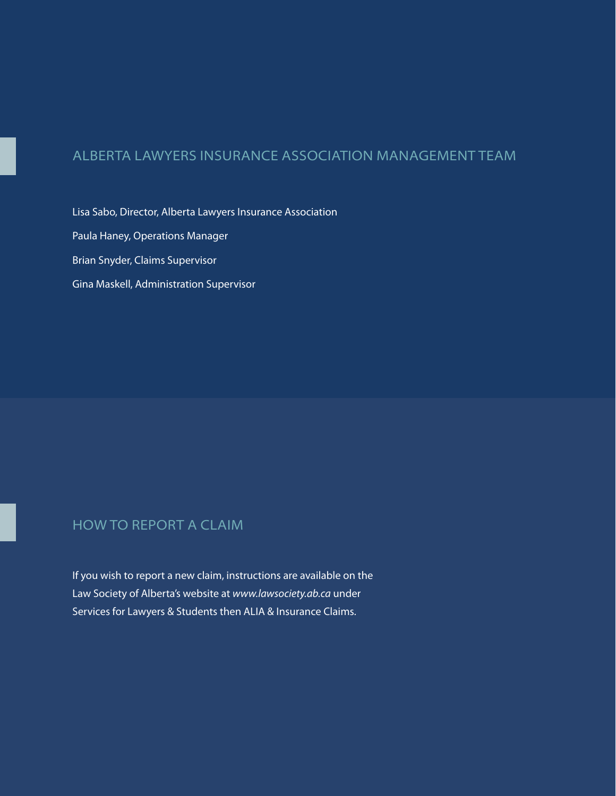# Alberta Lawyers Insurance Association management team

Lisa Sabo, Director, Alberta Lawyers Insurance Association Paula Haney, Operations Manager Brian Snyder, Claims Supervisor Gina Maskell, Administration Supervisor

# how to report a claim

If you wish to report a new claim, instructions are available on the Law Society of Alberta's website at *www.lawsociety.ab.ca* under Services for Lawyers & Students then ALIA & Insurance Claims.